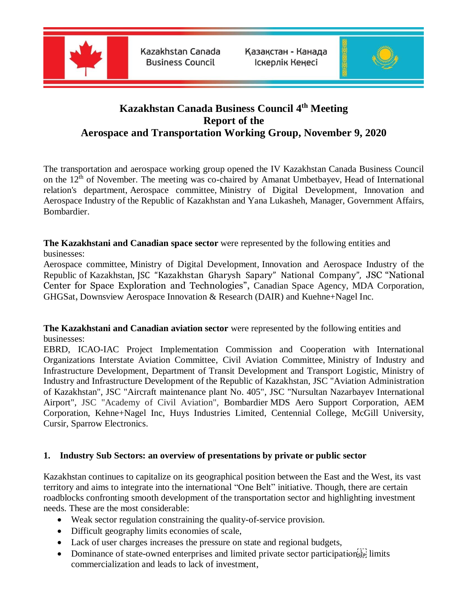

Kazakhstan Canada **Business Council** 

Казакстан - Канада Іскерлік Кеңесі



# **Kazakhstan Canada Business Council 4 th Meeting Report of the Aerospace and Transportation Working Group, November 9, 2020**

The transportation and aerospace working group opened the IV Kazakhstan Canada Business Council on the  $12<sup>th</sup>$  of November. The meeting was co-chaired by Amanat Umbetbayev, Head of International relation's department, Aerospace committee, Ministry of Digital Development, Innovation and Aerospace Industry of the Republic of Kazakhstan and Yana Lukasheh, Manager, Government Affairs, Bombardier.

**The Kazakhstani and Canadian space sector** were represented by the following entities and businesses:

Aerospace committee, Ministry of Digital Development, Innovation and Aerospace Industry of the Republic of Kazakhstan, JSC "Kazakhstan Gharysh Sapary" National Company", JSC "National Center for Space Exploration and Technologies", Canadian Space Agency, MDA Corporation, GHGSat, Downsview Aerospace Innovation & Research (DAIR) and Kuehne+Nagel Inc.

**The Kazakhstani and Canadian aviation sector** were represented by the following entities and businesses:

EBRD, ICAO-IAC Project Implementation Commission and Cooperation with International Organizations Interstate Aviation Committee, Civil Aviation Committee, Ministry of Industry and Infrastructure Development, Department of Transit Development and Transport Logistic, Ministry of Industry and Infrastructure Development of the Republic of Kazakhstan, JSC "Aviation Administration of Kazakhstan", JSC "Aircraft maintenance plant No. 405", JSC "Nursultan Nazarbayev International Airport", JSC "Academy of Civil Aviation", Bombardier MDS Aero Support Corporation, AEM Corporation, Kehne+Nagel Inc, Huys Industries Limited, Centennial College, McGill University, Cursir, Sparrow Electronics.

# **1. Industry Sub Sectors: an overview of presentations by private or public sector**

Kazakhstan continues to capitalize on its geographical position between the East and the West, its vast territory and aims to integrate into the international "One Belt" initiative. Though, there are certain roadblocks confronting smooth development of the transportation sector and highlighting investment needs. These are the most considerable:

- Weak sector regulation constraining the quality-of-service provision.
- Difficult geography limits economies of scale,
- Lack of user charges increases the pressure on state and regional budgets,
- Dominance of state-owned enterprises and limited private sector participation  $\sum_{i=1}^{n}$  limits commercialization and leads to lack of investment,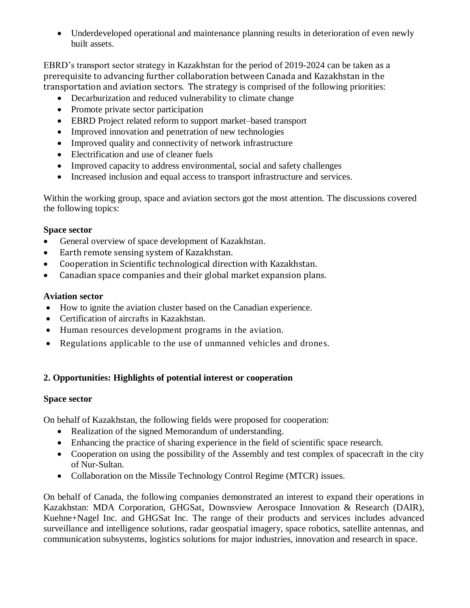• Underdeveloped operational and maintenance planning results in deterioration of even newly built assets.

EBRD's transport sector strategy in Kazakhstan for the period of 2019-2024 can be taken as a prerequisite to advancing further collaboration between Canada and Kazakhstan in the transportation and aviation sectors. The strategy is comprised of the following priorities:

- Decarburization and reduced vulnerability to climate change
- Promote private sector participation
- EBRD Project related reform to support market–based transport
- Improved innovation and penetration of new technologies
- Improved quality and connectivity of network infrastructure
- Electrification and use of cleaner fuels
- Improved capacity to address environmental, social and safety challenges
- Increased inclusion and equal access to transport infrastructure and services.

Within the working group, space and aviation sectors got the most attention. The discussions covered the following topics:

#### **Space sector**

- General overview of space development of Kazakhstan.
- Earth remote sensing system of Kazakhstan.
- Cooperation in Scientific technological direction with Kazakhstan.
- Canadian space companies and their global market expansion plans.

# **Aviation sector**

- How to ignite the aviation cluster based on the Canadian experience.
- Certification of aircrafts in Kazakhstan.
- Human resources development programs in the aviation.
- Regulations applicable to the use of unmanned vehicles and drones.

# **2. Opportunities: Highlights of potential interest or cooperation**

# **Space sector**

On behalf of Kazakhstan, the following fields were proposed for cooperation:

- Realization of the signed Memorandum of understanding.
- Enhancing the practice of sharing experience in the field of scientific space research.
- Cooperation on using the possibility of the Assembly and test complex of spacecraft in the city of Nur-Sultan.
- Collaboration on the Missile Technology Control Regime (MTCR) issues.

On behalf of Canada, the following companies demonstrated an interest to expand their operations in Kazakhstan: MDA Corporation, GHGSat, Downsview Aerospace Innovation & Research (DAIR), Kuehne+Nagel Inc. and GHGSat Inc. The range of their products and services includes advanced surveillance and intelligence solutions, radar geospatial imagery, space robotics, satellite antennas, and communication subsystems, logistics solutions for major industries, innovation and research in space.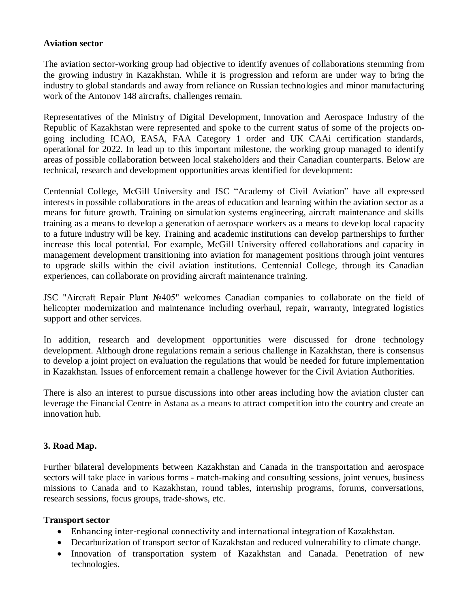#### **Aviation sector**

The aviation sector-working group had objective to identify avenues of collaborations stemming from the growing industry in Kazakhstan. While it is progression and reform are under way to bring the industry to global standards and away from reliance on Russian technologies and minor manufacturing work of the Antonov 148 aircrafts, challenges remain.

Representatives of the Ministry of Digital Development, Innovation and Aerospace Industry of the Republic of Kazakhstan were represented and spoke to the current status of some of the projects ongoing including ICAO, EASA, FAA Category 1 order and UK CAAi certification standards, operational for 2022. In lead up to this important milestone, the working group managed to identify areas of possible collaboration between local stakeholders and their Canadian counterparts. Below are technical, research and development opportunities areas identified for development:

Centennial College, McGill University and JSC "Academy of Civil Aviation" have all expressed interests in possible collaborations in the areas of education and learning within the aviation sector as a means for future growth. Training on simulation systems engineering, aircraft maintenance and skills training as a means to develop a generation of aerospace workers as a means to develop local capacity to a future industry will be key. Training and academic institutions can develop partnerships to further increase this local potential. For example, McGill University offered collaborations and capacity in management development transitioning into aviation for management positions through joint ventures to upgrade skills within the civil aviation institutions. Centennial College, through its Canadian experiences, can collaborate on providing aircraft maintenance training.

JSC "Aircraft Repair Plant №405" welcomes Canadian companies to collaborate on the field of helicopter modernization and maintenance including overhaul, repair, warranty, integrated logistics support and other services.

In addition, research and development opportunities were discussed for drone technology development. Although drone regulations remain a serious challenge in Kazakhstan, there is consensus to develop a joint project on evaluation the regulations that would be needed for future implementation in Kazakhstan. Issues of enforcement remain a challenge however for the Civil Aviation Authorities.

There is also an interest to pursue discussions into other areas including how the aviation cluster can leverage the Financial Centre in Astana as a means to attract competition into the country and create an innovation hub.

# **3. Road Map.**

Further bilateral developments between Kazakhstan and Canada in the transportation and aerospace sectors will take place in various forms - match-making and consulting sessions, joint venues, business missions to Canada and to Kazakhstan, round tables, internship programs, forums, conversations, research sessions, focus groups, trade-shows, etc.

# **Transport sector**

- Enhancing inter-regional connectivity and international integration of Kazakhstan.
- Decarburization of transport sector of Kazakhstan and reduced vulnerability to climate change.
- Innovation of transportation system of Kazakhstan and Canada. Penetration of new technologies.